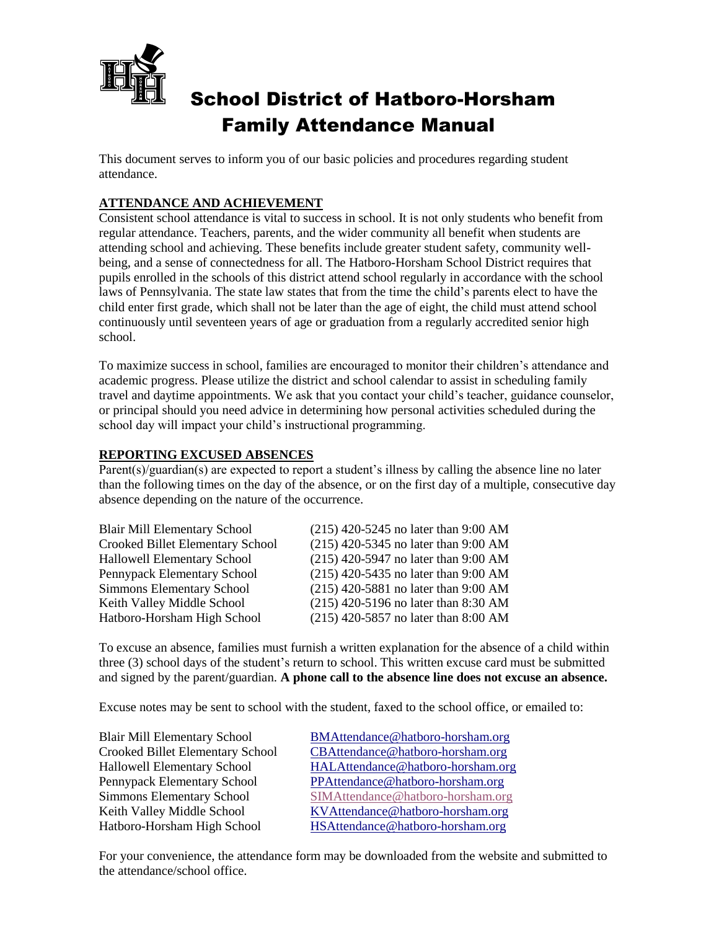

# School District of Hatboro-Horsham Family Attendance Manual

This document serves to inform you of our basic policies and procedures regarding student attendance.

# **ATTENDANCE AND ACHIEVEMENT**

Consistent school attendance is vital to success in school. It is not only students who benefit from regular attendance. Teachers, parents, and the wider community all benefit when students are attending school and achieving. These benefits include greater student safety, community wellbeing, and a sense of connectedness for all. The Hatboro-Horsham School District requires that pupils enrolled in the schools of this district attend school regularly in accordance with the school laws of Pennsylvania. The state law states that from the time the child's parents elect to have the child enter first grade, which shall not be later than the age of eight, the child must attend school continuously until seventeen years of age or graduation from a regularly accredited senior high school.

To maximize success in school, families are encouraged to monitor their children's attendance and academic progress. Please utilize the district and school calendar to assist in scheduling family travel and daytime appointments. We ask that you contact your child's teacher, guidance counselor, or principal should you need advice in determining how personal activities scheduled during the school day will impact your child's instructional programming.

# **REPORTING EXCUSED ABSENCES**

Parent(s)/guardian(s) are expected to report a student's illness by calling the absence line no later than the following times on the day of the absence, or on the first day of a multiple, consecutive day absence depending on the nature of the occurrence.

| <b>Blair Mill Elementary School</b> | $(215)$ 420-5245 no later than 9:00 AM |
|-------------------------------------|----------------------------------------|
| Crooked Billet Elementary School    | $(215)$ 420-5345 no later than 9:00 AM |
| Hallowell Elementary School         | $(215)$ 420-5947 no later than 9:00 AM |
| Pennypack Elementary School         | $(215)$ 420-5435 no later than 9:00 AM |
| Simmons Elementary School           | $(215)$ 420-5881 no later than 9:00 AM |
| Keith Valley Middle School          | $(215)$ 420-5196 no later than 8:30 AM |
| Hatboro-Horsham High School         | $(215)$ 420-5857 no later than 8:00 AM |

To excuse an absence, families must furnish a written explanation for the absence of a child within three (3) school days of the student's return to school. This written excuse card must be submitted and signed by the parent/guardian. **A phone call to the absence line does not excuse an absence.**

Excuse notes may be sent to school with the student, faxed to the school office, or emailed to:

| <b>Blair Mill Elementary School</b>     |
|-----------------------------------------|
| <b>Crooked Billet Elementary School</b> |
| <b>Hallowell Elementary School</b>      |
| Pennypack Elementary School             |
| <b>Simmons Elementary School</b>        |
| Keith Valley Middle School              |
| Hatboro-Horsham High School             |

[BMAttendance@hatboro-horsham.org](mailto:BMAttendance@hatboro-horsham.org) [CBAttendance@hatboro-horsham.org](mailto:CBAttendance@hatboro-horsham.org) [HALAttendance@hatboro-horsham.org](mailto:HALAttendance@hatboro-horsham.org) [PPAttendance@hatboro-horsham.org](mailto:PPAttendance@hatboro-horsham.org) [SIMAttendance@hatboro-horsham.org](mailto:SIMAttendance@hatboro-horsham.org) [KVAttendance@hatboro-horsham.org](mailto:KVAttendance@hatboro-horsham.org) [HSAttendance@hatboro-horsham.org](mailto:HSAttendance@hatboro-horsham.org)

For your convenience, the attendance form may be downloaded from the website and submitted to the attendance/school office.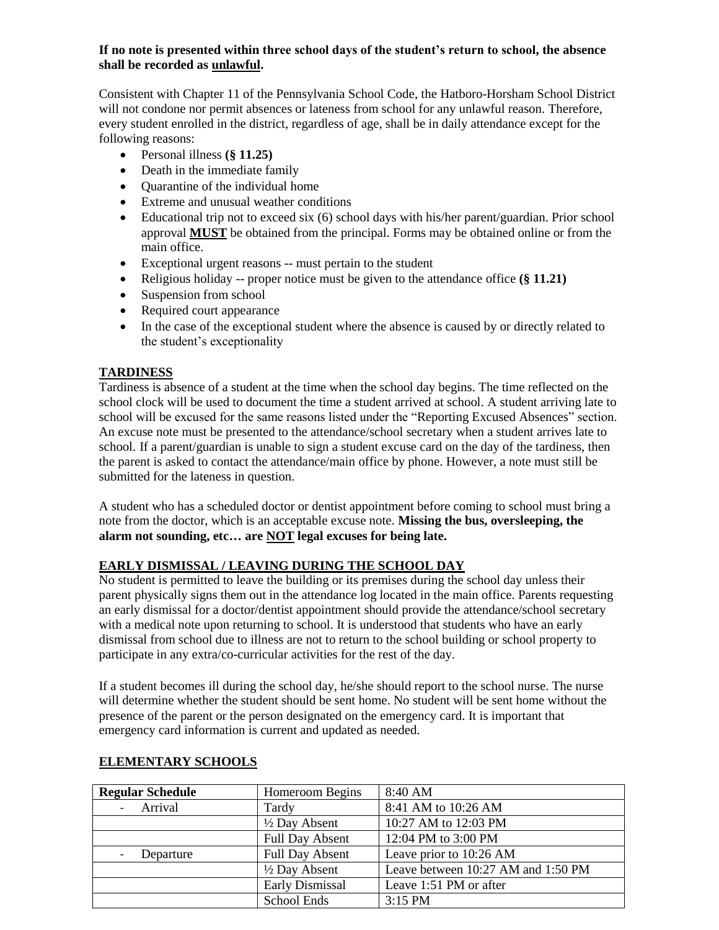#### **If no note is presented within three school days of the student's return to school, the absence shall be recorded as unlawful.**

Consistent with Chapter 11 of the Pennsylvania School Code, the Hatboro-Horsham School District will not condone nor permit absences or lateness from school for any unlawful reason. Therefore, every student enrolled in the district, regardless of age, shall be in daily attendance except for the following reasons:

- Personal illness **(§ 11.25)**
- Death in the immediate family
- Quarantine of the individual home
- Extreme and unusual weather conditions
- Educational trip not to exceed six (6) school days with his/her parent/guardian. Prior school approval **MUST** be obtained from the principal. Forms may be obtained online or from the main office.
- Exceptional urgent reasons -- must pertain to the student
- Religious holiday -- proper notice must be given to the attendance office **(§ 11.21)**
- Suspension from school
- Required court appearance
- In the case of the exceptional student where the absence is caused by or directly related to the student's exceptionality

### **TARDINESS**

Tardiness is absence of a student at the time when the school day begins. The time reflected on the school clock will be used to document the time a student arrived at school. A student arriving late to school will be excused for the same reasons listed under the "Reporting Excused Absences" section. An excuse note must be presented to the attendance/school secretary when a student arrives late to school. If a parent/guardian is unable to sign a student excuse card on the day of the tardiness, then the parent is asked to contact the attendance/main office by phone. However, a note must still be submitted for the lateness in question.

A student who has a scheduled doctor or dentist appointment before coming to school must bring a note from the doctor, which is an acceptable excuse note. **Missing the bus, oversleeping, the alarm not sounding, etc… are NOT legal excuses for being late.**

# **EARLY DISMISSAL / LEAVING DURING THE SCHOOL DAY**

No student is permitted to leave the building or its premises during the school day unless their parent physically signs them out in the attendance log located in the main office. Parents requesting an early dismissal for a doctor/dentist appointment should provide the attendance/school secretary with a medical note upon returning to school. It is understood that students who have an early dismissal from school due to illness are not to return to the school building or school property to participate in any extra/co-curricular activities for the rest of the day.

If a student becomes ill during the school day, he/she should report to the school nurse. The nurse will determine whether the student should be sent home. No student will be sent home without the presence of the parent or the person designated on the emergency card. It is important that emergency card information is current and updated as needed.

| <b>Regular Schedule</b> | Homeroom Begins          | 8:40 AM                            |
|-------------------------|--------------------------|------------------------------------|
| - Arrival               | Tardy                    | 8:41 AM to 10:26 AM                |
|                         | $\frac{1}{2}$ Day Absent | 10:27 AM to 12:03 PM               |
|                         | <b>Full Day Absent</b>   | 12:04 PM to 3:00 PM                |
| Departure               | <b>Full Day Absent</b>   | Leave prior to 10:26 AM            |
|                         | $\frac{1}{2}$ Day Absent | Leave between 10:27 AM and 1:50 PM |
|                         | <b>Early Dismissal</b>   | Leave 1:51 PM or after             |
|                         | School Ends              | $3:15$ PM                          |

# **ELEMENTARY SCHOOLS**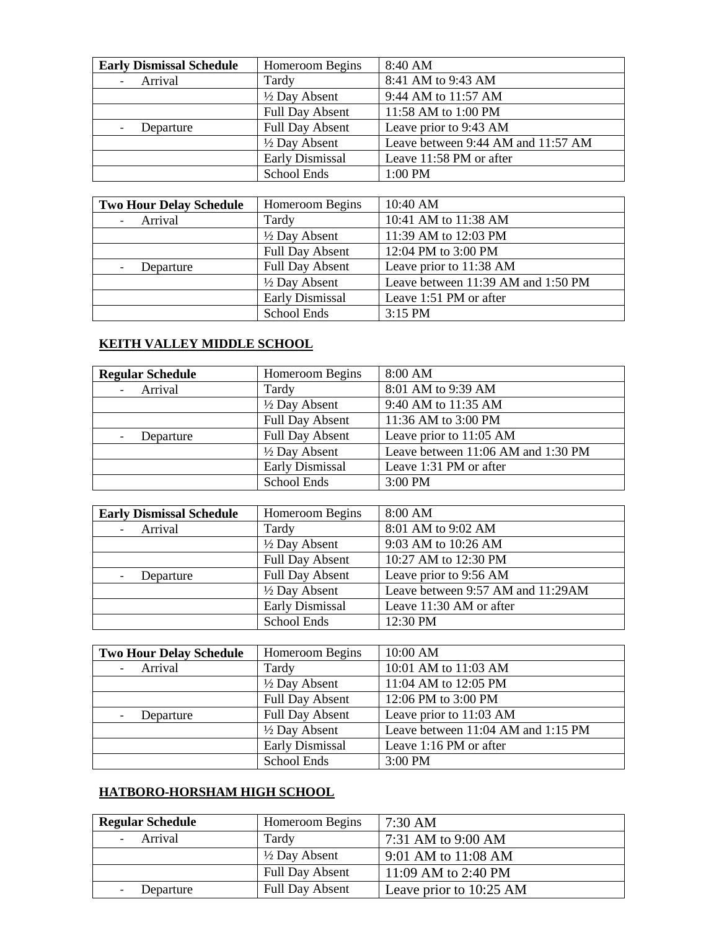| <b>Early Dismissal Schedule</b> | Homeroom Begins        | 8:40 AM                            |
|---------------------------------|------------------------|------------------------------------|
| Arrival                         | Tardy                  | 8:41 AM to 9:43 AM                 |
|                                 | 1/2 Day Absent         | 9:44 AM to 11:57 AM                |
|                                 | <b>Full Day Absent</b> | 11:58 AM to 1:00 PM                |
| Departure                       | <b>Full Day Absent</b> | Leave prior to 9:43 AM             |
|                                 | 1/2 Day Absent         | Leave between 9:44 AM and 11:57 AM |
|                                 | <b>Early Dismissal</b> | Leave 11:58 PM or after            |
|                                 | School Ends            | 1:00 PM                            |

| <b>Two Hour Delay Schedule</b> | Homeroom Begins          | 10:40 AM                           |
|--------------------------------|--------------------------|------------------------------------|
| Arrival                        | Tardy                    | 10:41 AM to 11:38 AM               |
|                                | $\frac{1}{2}$ Day Absent | 11:39 AM to 12:03 PM               |
|                                | <b>Full Day Absent</b>   | 12:04 PM to 3:00 PM                |
| Departure                      | <b>Full Day Absent</b>   | Leave prior to 11:38 AM            |
|                                | $\frac{1}{2}$ Day Absent | Leave between 11:39 AM and 1:50 PM |
|                                | Early Dismissal          | Leave 1:51 PM or after             |
|                                | School Ends              | $3:15$ PM                          |

# **KEITH VALLEY MIDDLE SCHOOL**

| <b>Regular Schedule</b> | Homeroom Begins          | 8:00 AM                            |
|-------------------------|--------------------------|------------------------------------|
| Arrival                 | Tardy                    | 8:01 AM to 9:39 AM                 |
|                         | $\frac{1}{2}$ Day Absent | 9:40 AM to 11:35 AM                |
|                         | <b>Full Day Absent</b>   | 11:36 AM to 3:00 PM                |
| Departure               | <b>Full Day Absent</b>   | Leave prior to 11:05 AM            |
|                         | $\frac{1}{2}$ Day Absent | Leave between 11:06 AM and 1:30 PM |
|                         | Early Dismissal          | Leave 1:31 PM or after             |
|                         | School Ends              | 3:00 PM                            |

| <b>Early Dismissal Schedule</b> | Homeroom Begins          | 8:00 AM                           |
|---------------------------------|--------------------------|-----------------------------------|
| Arrival                         | Tardy                    | 8:01 AM to 9:02 AM                |
|                                 | $\frac{1}{2}$ Day Absent | 9:03 AM to 10:26 AM               |
|                                 | <b>Full Day Absent</b>   | 10:27 AM to 12:30 PM              |
| Departure                       | Full Day Absent          | Leave prior to 9:56 AM            |
|                                 | $\frac{1}{2}$ Day Absent | Leave between 9:57 AM and 11:29AM |
|                                 | <b>Early Dismissal</b>   | Leave 11:30 AM or after           |
|                                 | School Ends              | 12:30 PM                          |

| <b>Two Hour Delay Schedule</b> | Homeroom Begins          | 10:00 AM                           |
|--------------------------------|--------------------------|------------------------------------|
| Arrival                        | Tardy                    | 10:01 AM to 11:03 AM               |
|                                | $\frac{1}{2}$ Day Absent | 11:04 AM to 12:05 PM               |
|                                | <b>Full Day Absent</b>   | 12:06 PM to 3:00 PM                |
| Departure                      | <b>Full Day Absent</b>   | Leave prior to 11:03 AM            |
|                                | $\frac{1}{2}$ Day Absent | Leave between 11:04 AM and 1:15 PM |
|                                | <b>Early Dismissal</b>   | Leave 1:16 PM or after             |
|                                | School Ends              | 3:00 PM                            |

# **HATBORO-HORSHAM HIGH SCHOOL**

| <b>Regular Schedule</b> | Homeroom Begins          | $7:30 \text{ AM}$       |
|-------------------------|--------------------------|-------------------------|
| - Arrival               | Tardy                    | 7:31 AM to 9:00 AM      |
|                         | $\frac{1}{2}$ Day Absent | 9:01 AM to 11:08 AM     |
|                         | <b>Full Day Absent</b>   | 11:09 AM to 2:40 PM     |
| Departure               | <b>Full Day Absent</b>   | Leave prior to 10:25 AM |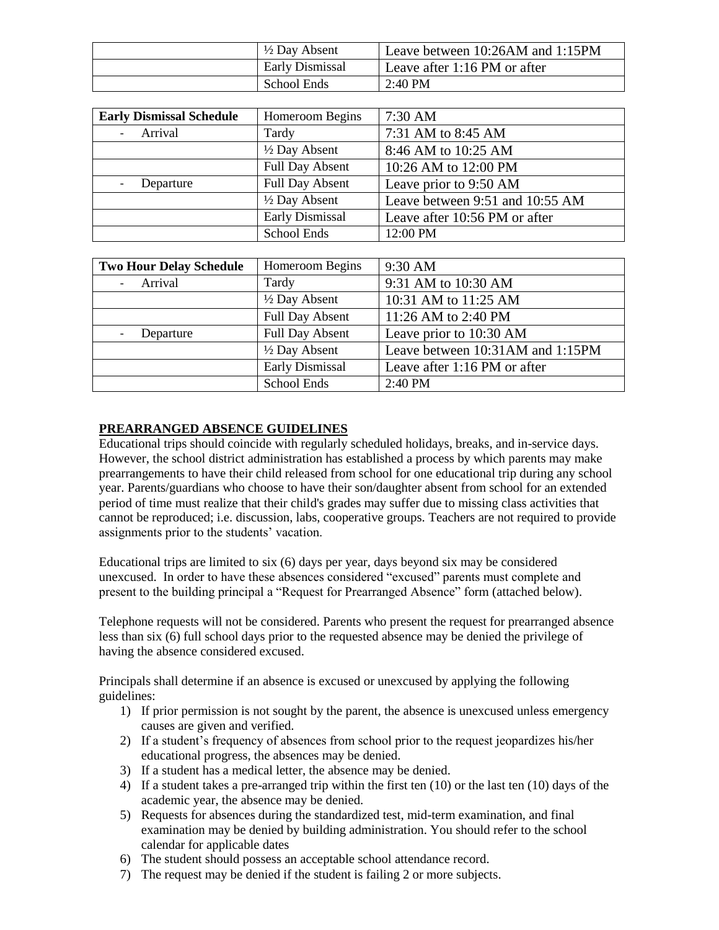| $\frac{1}{2}$ Day Absent | Leave between 10:26AM and 1:15PM |
|--------------------------|----------------------------------|
| Early Dismissal          | Leave after 1:16 PM or after     |
| School Ends              | $2:40$ PM                        |

| <b>Early Dismissal Schedule</b> | Homeroom Begins          | $7:30$ AM                       |
|---------------------------------|--------------------------|---------------------------------|
| - Arrival                       | Tardy                    | 7:31 AM to 8:45 AM              |
|                                 | $\frac{1}{2}$ Day Absent | 8:46 AM to 10:25 AM             |
|                                 | <b>Full Day Absent</b>   | 10:26 AM to 12:00 PM            |
| Departure                       | <b>Full Day Absent</b>   | Leave prior to 9:50 AM          |
|                                 | $\frac{1}{2}$ Day Absent | Leave between 9:51 and 10:55 AM |
|                                 | Early Dismissal          | Leave after 10:56 PM or after   |
|                                 | School Ends              | 12:00 PM                        |

| <b>Two Hour Delay Schedule</b> | Homeroom Begins          | 9:30 AM                          |
|--------------------------------|--------------------------|----------------------------------|
| Arrival                        | Tardy                    | 9:31 AM to 10:30 AM              |
|                                | $\frac{1}{2}$ Day Absent | 10:31 AM to 11:25 AM             |
|                                | <b>Full Day Absent</b>   | 11:26 AM to 2:40 PM              |
| Departure                      | <b>Full Day Absent</b>   | Leave prior to 10:30 AM          |
|                                | $\frac{1}{2}$ Day Absent | Leave between 10:31AM and 1:15PM |
|                                | <b>Early Dismissal</b>   | Leave after 1:16 PM or after     |
|                                | School Ends              | 2:40 PM                          |

### **PREARRANGED ABSENCE GUIDELINES**

Educational trips should coincide with regularly scheduled holidays, breaks, and in-service days. However, the school district administration has established a process by which parents may make prearrangements to have their child released from school for one educational trip during any school year. Parents/guardians who choose to have their son/daughter absent from school for an extended period of time must realize that their child's grades may suffer due to missing class activities that cannot be reproduced; i.e. discussion, labs, cooperative groups. Teachers are not required to provide assignments prior to the students' vacation.

Educational trips are limited to six (6) days per year, days beyond six may be considered unexcused. In order to have these absences considered "excused" parents must complete and present to the building principal a "Request for Prearranged Absence" form (attached below).

Telephone requests will not be considered. Parents who present the request for prearranged absence less than six (6) full school days prior to the requested absence may be denied the privilege of having the absence considered excused.

Principals shall determine if an absence is excused or unexcused by applying the following guidelines:

- 1) If prior permission is not sought by the parent, the absence is unexcused unless emergency causes are given and verified.
- 2) If a student's frequency of absences from school prior to the request jeopardizes his/her educational progress, the absences may be denied.
- 3) If a student has a medical letter, the absence may be denied.
- 4) If a student takes a pre-arranged trip within the first ten  $(10)$  or the last ten  $(10)$  days of the academic year, the absence may be denied.
- 5) Requests for absences during the standardized test, mid-term examination, and final examination may be denied by building administration. You should refer to the school calendar for applicable dates
- 6) The student should possess an acceptable school attendance record.
- 7) The request may be denied if the student is failing 2 or more subjects.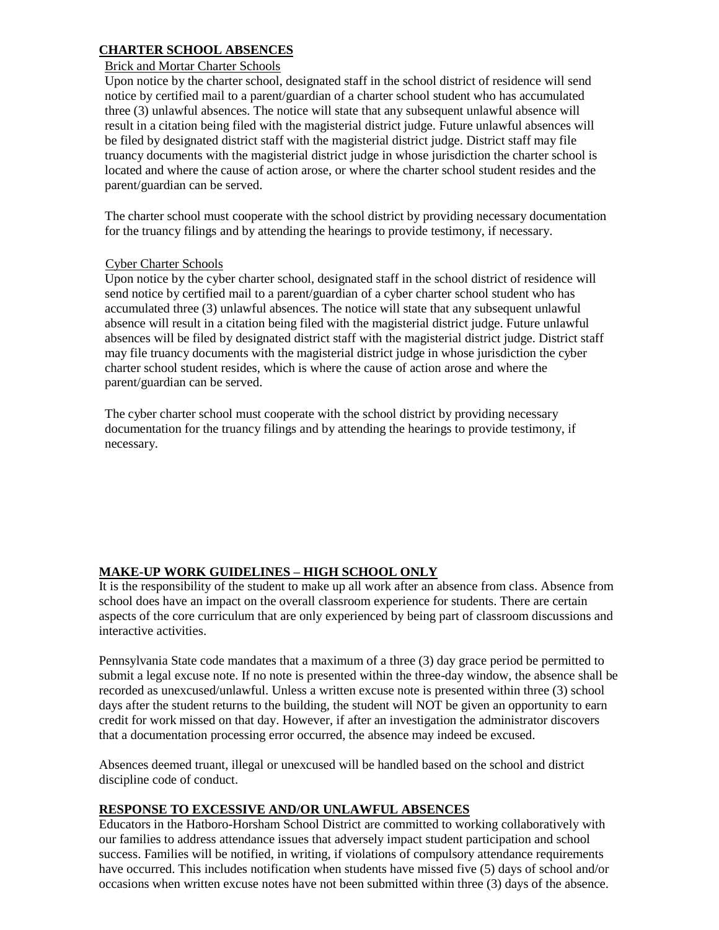## **CHARTER SCHOOL ABSENCES**

#### Brick and Mortar Charter Schools

Upon notice by the charter school, designated staff in the school district of residence will send notice by certified mail to a parent/guardian of a charter school student who has accumulated three (3) unlawful absences. The notice will state that any subsequent unlawful absence will result in a citation being filed with the magisterial district judge. Future unlawful absences will be filed by designated district staff with the magisterial district judge. District staff may file truancy documents with the magisterial district judge in whose jurisdiction the charter school is located and where the cause of action arose, or where the charter school student resides and the parent/guardian can be served.

The charter school must cooperate with the school district by providing necessary documentation for the truancy filings and by attending the hearings to provide testimony, if necessary.

#### Cyber Charter Schools

Upon notice by the cyber charter school, designated staff in the school district of residence will send notice by certified mail to a parent/guardian of a cyber charter school student who has accumulated three (3) unlawful absences. The notice will state that any subsequent unlawful absence will result in a citation being filed with the magisterial district judge. Future unlawful absences will be filed by designated district staff with the magisterial district judge. District staff may file truancy documents with the magisterial district judge in whose jurisdiction the cyber charter school student resides, which is where the cause of action arose and where the parent/guardian can be served.

The cyber charter school must cooperate with the school district by providing necessary documentation for the truancy filings and by attending the hearings to provide testimony, if necessary.

# **MAKE-UP WORK GUIDELINES – HIGH SCHOOL ONLY**

It is the responsibility of the student to make up all work after an absence from class. Absence from school does have an impact on the overall classroom experience for students. There are certain aspects of the core curriculum that are only experienced by being part of classroom discussions and interactive activities.

Pennsylvania State code mandates that a maximum of a three (3) day grace period be permitted to submit a legal excuse note. If no note is presented within the three-day window, the absence shall be recorded as unexcused/unlawful. Unless a written excuse note is presented within three (3) school days after the student returns to the building, the student will NOT be given an opportunity to earn credit for work missed on that day. However, if after an investigation the administrator discovers that a documentation processing error occurred, the absence may indeed be excused.

Absences deemed truant, illegal or unexcused will be handled based on the school and district discipline code of conduct.

#### **RESPONSE TO EXCESSIVE AND/OR UNLAWFUL ABSENCES**

Educators in the Hatboro-Horsham School District are committed to working collaboratively with our families to address attendance issues that adversely impact student participation and school success. Families will be notified, in writing, if violations of compulsory attendance requirements have occurred. This includes notification when students have missed five (5) days of school and/or occasions when written excuse notes have not been submitted within three (3) days of the absence.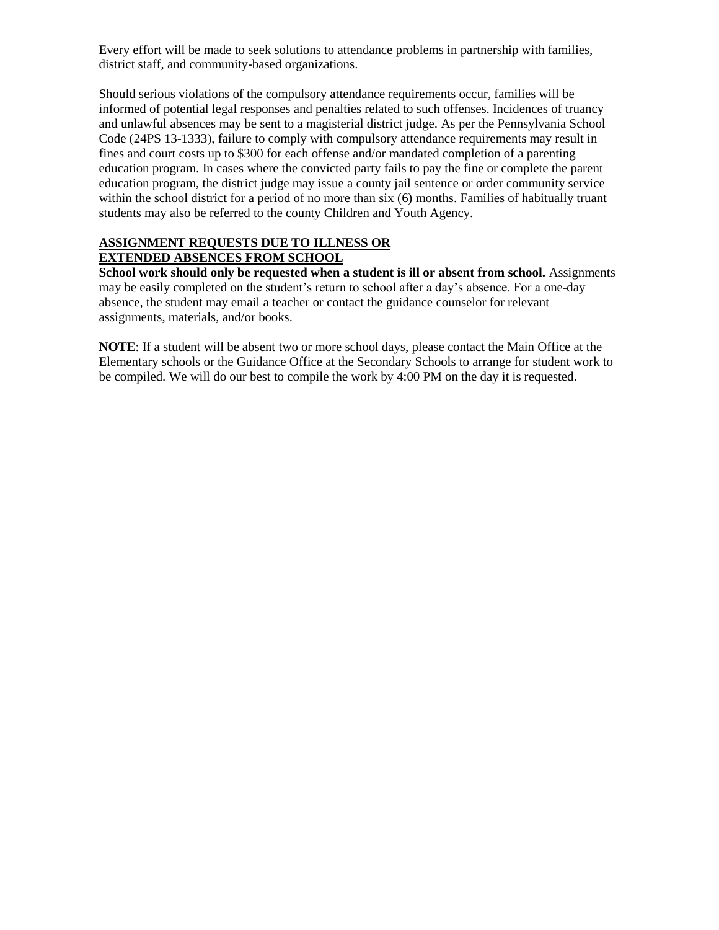Every effort will be made to seek solutions to attendance problems in partnership with families, district staff, and community-based organizations.

Should serious violations of the compulsory attendance requirements occur, families will be informed of potential legal responses and penalties related to such offenses. Incidences of truancy and unlawful absences may be sent to a magisterial district judge. As per the Pennsylvania School Code (24PS 13-1333), failure to comply with compulsory attendance requirements may result in fines and court costs up to \$300 for each offense and/or mandated completion of a parenting education program. In cases where the convicted party fails to pay the fine or complete the parent education program, the district judge may issue a county jail sentence or order community service within the school district for a period of no more than six (6) months. Families of habitually truant students may also be referred to the county Children and Youth Agency.

## **ASSIGNMENT REQUESTS DUE TO ILLNESS OR EXTENDED ABSENCES FROM SCHOOL**

**School work should only be requested when a student is ill or absent from school.** Assignments may be easily completed on the student's return to school after a day's absence. For a one-day absence, the student may email a teacher or contact the guidance counselor for relevant assignments, materials, and/or books.

**NOTE**: If a student will be absent two or more school days, please contact the Main Office at the Elementary schools or the Guidance Office at the Secondary Schools to arrange for student work to be compiled. We will do our best to compile the work by 4:00 PM on the day it is requested.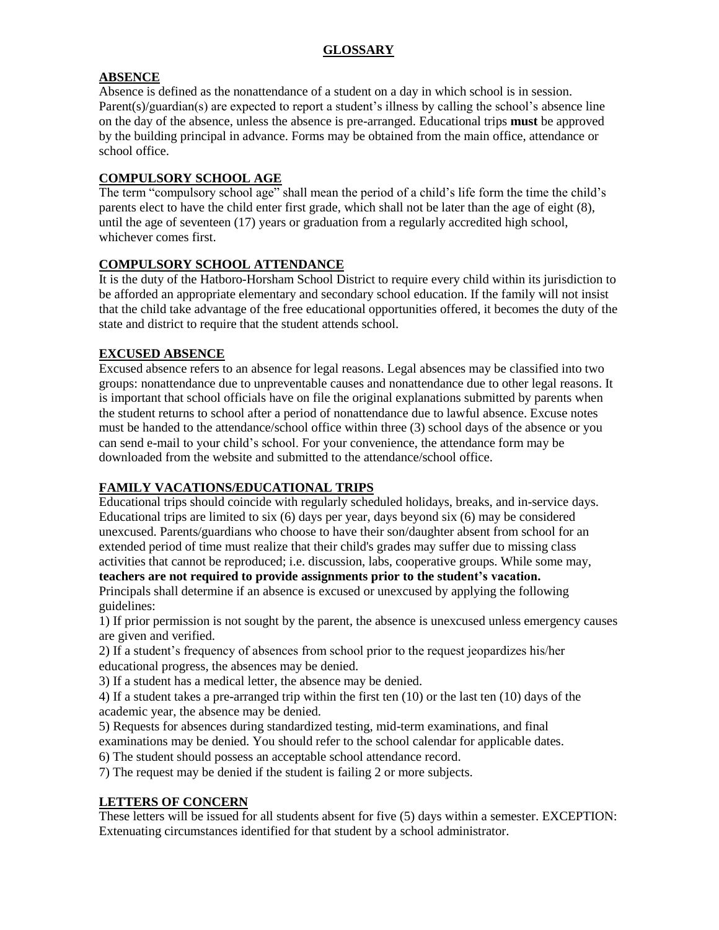# **ABSENCE**

Absence is defined as the nonattendance of a student on a day in which school is in session. Parent(s)/guardian(s) are expected to report a student's illness by calling the school's absence line on the day of the absence, unless the absence is pre-arranged. Educational trips **must** be approved by the building principal in advance. Forms may be obtained from the main office, attendance or school office.

# **COMPULSORY SCHOOL AGE**

The term "compulsory school age" shall mean the period of a child's life form the time the child's parents elect to have the child enter first grade, which shall not be later than the age of eight (8), until the age of seventeen (17) years or graduation from a regularly accredited high school, whichever comes first.

# **COMPULSORY SCHOOL ATTENDANCE**

It is the duty of the Hatboro-Horsham School District to require every child within its jurisdiction to be afforded an appropriate elementary and secondary school education. If the family will not insist that the child take advantage of the free educational opportunities offered, it becomes the duty of the state and district to require that the student attends school.

# **EXCUSED ABSENCE**

Excused absence refers to an absence for legal reasons. Legal absences may be classified into two groups: nonattendance due to unpreventable causes and nonattendance due to other legal reasons. It is important that school officials have on file the original explanations submitted by parents when the student returns to school after a period of nonattendance due to lawful absence. Excuse notes must be handed to the attendance/school office within three (3) school days of the absence or you can send e-mail to your child's school. For your convenience, the attendance form may be downloaded from the website and submitted to the attendance/school office.

# **FAMILY VACATIONS/EDUCATIONAL TRIPS**

Educational trips should coincide with regularly scheduled holidays, breaks, and in-service days. Educational trips are limited to six (6) days per year, days beyond six (6) may be considered unexcused. Parents/guardians who choose to have their son/daughter absent from school for an extended period of time must realize that their child's grades may suffer due to missing class activities that cannot be reproduced; i.e. discussion, labs, cooperative groups. While some may,

## **teachers are not required to provide assignments prior to the student's vacation.**

Principals shall determine if an absence is excused or unexcused by applying the following guidelines:

1) If prior permission is not sought by the parent, the absence is unexcused unless emergency causes are given and verified.

2) If a student's frequency of absences from school prior to the request jeopardizes his/her educational progress, the absences may be denied.

3) If a student has a medical letter, the absence may be denied.

4) If a student takes a pre-arranged trip within the first ten (10) or the last ten (10) days of the academic year, the absence may be denied.

5) Requests for absences during standardized testing, mid-term examinations, and final examinations may be denied. You should refer to the school calendar for applicable dates.

6) The student should possess an acceptable school attendance record.

7) The request may be denied if the student is failing 2 or more subjects.

# **LETTERS OF CONCERN**

These letters will be issued for all students absent for five (5) days within a semester. EXCEPTION: Extenuating circumstances identified for that student by a school administrator.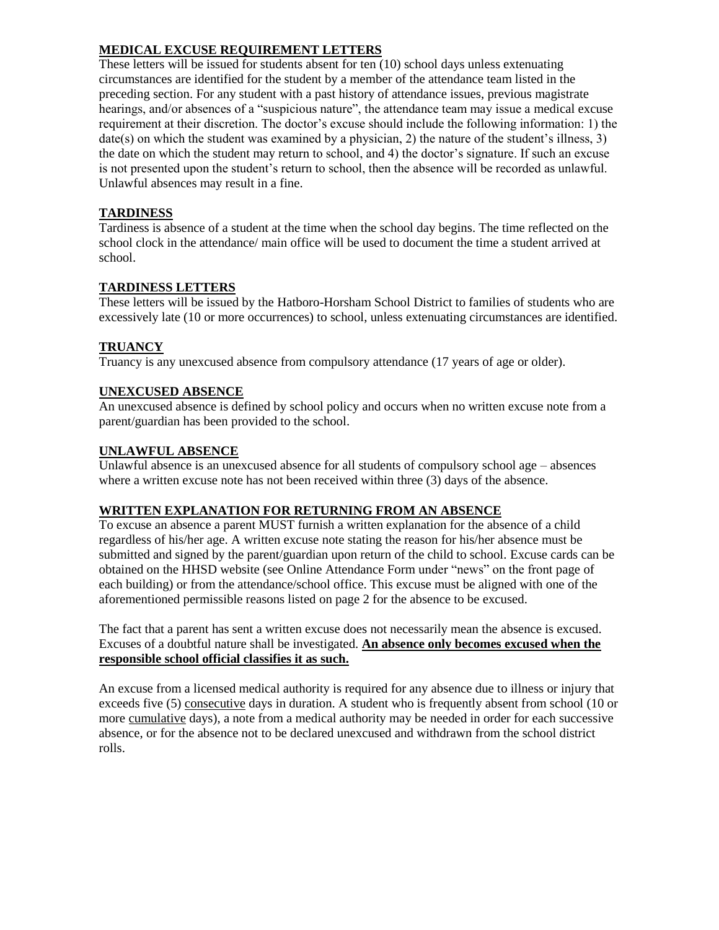# **MEDICAL EXCUSE REQUIREMENT LETTERS**

These letters will be issued for students absent for ten (10) school days unless extenuating circumstances are identified for the student by a member of the attendance team listed in the preceding section. For any student with a past history of attendance issues, previous magistrate hearings, and/or absences of a "suspicious nature", the attendance team may issue a medical excuse requirement at their discretion. The doctor's excuse should include the following information: 1) the date(s) on which the student was examined by a physician, 2) the nature of the student's illness, 3) the date on which the student may return to school, and 4) the doctor's signature. If such an excuse is not presented upon the student's return to school, then the absence will be recorded as unlawful. Unlawful absences may result in a fine.

# **TARDINESS**

Tardiness is absence of a student at the time when the school day begins. The time reflected on the school clock in the attendance/ main office will be used to document the time a student arrived at school.

# **TARDINESS LETTERS**

These letters will be issued by the Hatboro-Horsham School District to families of students who are excessively late (10 or more occurrences) to school, unless extenuating circumstances are identified.

# **TRUANCY**

Truancy is any unexcused absence from compulsory attendance (17 years of age or older).

# **UNEXCUSED ABSENCE**

An unexcused absence is defined by school policy and occurs when no written excuse note from a parent/guardian has been provided to the school.

### **UNLAWFUL ABSENCE**

Unlawful absence is an unexcused absence for all students of compulsory school age – absences where a written excuse note has not been received within three  $(3)$  days of the absence.

# **WRITTEN EXPLANATION FOR RETURNING FROM AN ABSENCE**

To excuse an absence a parent MUST furnish a written explanation for the absence of a child regardless of his/her age. A written excuse note stating the reason for his/her absence must be submitted and signed by the parent/guardian upon return of the child to school. Excuse cards can be obtained on the HHSD website (see Online Attendance Form under "news" on the front page of each building) or from the attendance/school office. This excuse must be aligned with one of the aforementioned permissible reasons listed on page 2 for the absence to be excused.

The fact that a parent has sent a written excuse does not necessarily mean the absence is excused. Excuses of a doubtful nature shall be investigated. **An absence only becomes excused when the responsible school official classifies it as such.** 

An excuse from a licensed medical authority is required for any absence due to illness or injury that exceeds five (5) consecutive days in duration. A student who is frequently absent from school (10 or more cumulative days), a note from a medical authority may be needed in order for each successive absence, or for the absence not to be declared unexcused and withdrawn from the school district rolls.